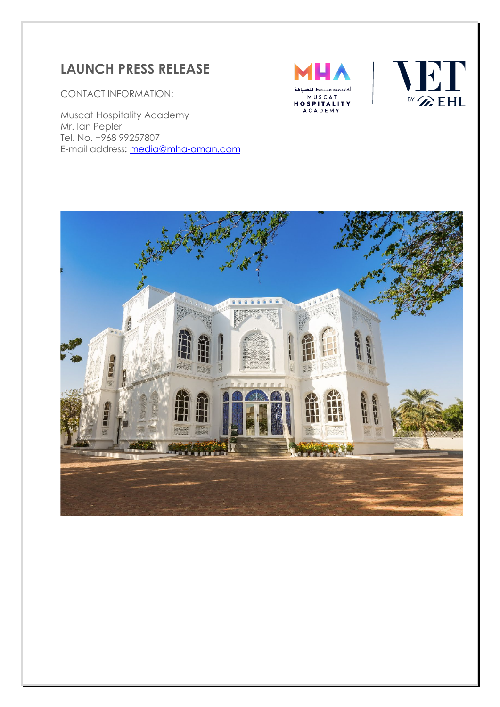# **LAUNCH PRESS RELEASE**

CONTACT INFORMATION:

Muscat Hospitality Academy Mr. Ian Pepler Tel. No. +968 99257807 E-mail address: [media@mha-oman.com](mailto:media@mha-oman.com)





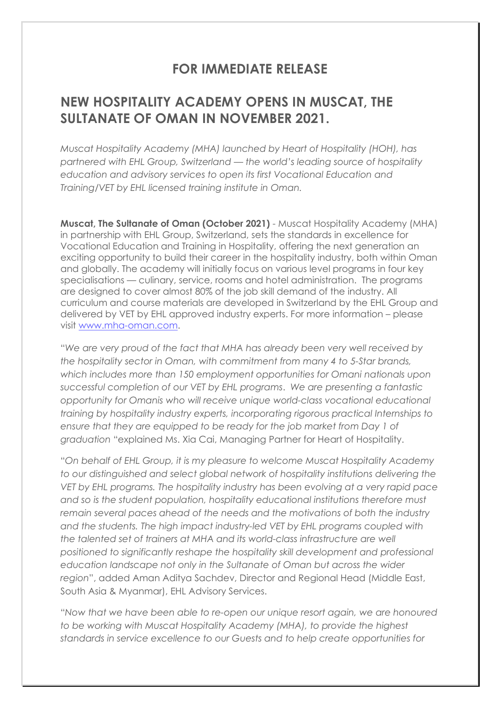## **FOR IMMEDIATE RELEASE**

## **NEW HOSPITALITY ACADEMY OPENS IN MUSCAT, THE SULTANATE OF OMAN IN NOVEMBER 2021.**

*Muscat Hospitality Academy (MHA) launched by Heart of Hospitality (HOH), has partnered with EHL Group, Switzerland — the world's leading source of hospitality education and advisory services to open its first Vocational Education and Training/VET by EHL licensed training institute in Oman.* 

**Muscat, The Sultanate of Oman (October 2021)** - Muscat Hospitality Academy (MHA) in partnership with EHL Group, Switzerland, sets the standards in excellence for Vocational Education and Training in Hospitality, offering the next generation an exciting opportunity to build their career in the hospitality industry, both within Oman and globally. The academy will initially focus on various level programs in four key specialisations — culinary, service, rooms and hotel administration. The programs are designed to cover almost 80% of the job skill demand of the industry. All curriculum and course materials are developed in Switzerland by the EHL Group and delivered by VET by EHL approved industry experts. For more information – please visit [www.mha-oman.com.](http://www.mha-oman.com/)

"*We are very proud of the fact that MHA has already been very well received by the hospitality sector in Oman, with commitment from many 4 to 5-Star brands, which includes more than 150 employment opportunities for Omani nationals upon successful completion of our VET by EHL programs*. *We are presenting a fantastic opportunity for Omanis who will receive unique world-class vocational educational training by hospitality industry experts, incorporating rigorous practical Internships to ensure that they are equipped to be ready for the job market from Day 1 of graduation* "explained Ms. Xia Cai, Managing Partner for Heart of Hospitality.

"*On behalf of EHL Group, it is my pleasure to welcome Muscat Hospitality Academy to our distinguished and select global network of hospitality institutions delivering the VET by EHL programs. The hospitality industry has been evolving at a very rapid pace and so is the student population, hospitality educational institutions therefore must remain several paces ahead of the needs and the motivations of both the industry and the students. The high impact industry-led VET by EHL programs coupled with the talented set of trainers at MHA and its world-class infrastructure are well positioned to significantly reshape the hospitality skill development and professional education landscape not only in the Sultanate of Oman but across the wider region*", added Aman Aditya Sachdev, Director and Regional Head (Middle East, South Asia & Myanmar), EHL Advisory Services.

"*Now that we have been able to re-open our unique resort again, we are honoured to be working with Muscat Hospitality Academy (MHA), to provide the highest standards in service excellence to our Guests and to help create opportunities for*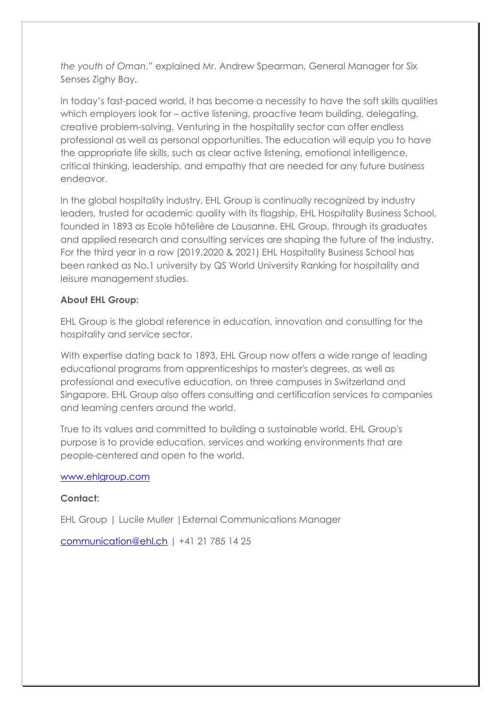*the youth of Oman*," explained Mr. Andrew Spearman, General Manager for Six Senses Zighy Bay.

In today's fast-paced world, it has become a necessity to have the soft skills qualities which employers look for – active listening, proactive team building, delegating, creative problem-solving. Venturing in the hospitality sector can offer endless professional as well as personal opportunities. The education will equip you to have the appropriate life skills, such as clear active listening, emotional intelligence, critical thinking, leadership, and empathy that are needed for any future business endeavor.

In the global hospitality industry, EHL Group is continually recognized by industry leaders, trusted for academic quality with its flagship, EHL Hospitality Business School, founded in 1893 as Ecole hôtelière de Lausanne. EHL Group, through its graduates and applied research and consulting services are shaping the future of the industry. For the third year in a row (2019,2020 & 2021) EHL Hospitality Business School has been ranked as No.1 university by QS World University Ranking for hospitality and leisure management studies.

### **About EHL Group:**

EHL Group is the global reference in education, innovation and consulting for the hospitality and service sector.

With expertise dating back to 1893, EHL Group now offers a wide range of leading educational programs from apprenticeships to master's degrees, as well as professional and executive education, on three campuses in Switzerland and Singapore. EHL Group also offers consulting and certification services to companies and learning centers around the world.

True to its values and committed to building a sustainable world, EHL Group's purpose is to provide education, services and working environments that are people-centered and open to the world.

#### [www.ehlgroup.com](http://www.ehlgroup.com/)

### **Contact:**

EHL Group | Lucile Muller |External Communications Manager

[communication@ehl.ch](mailto:communication@ehl.ch) | +41 21 785 14 25